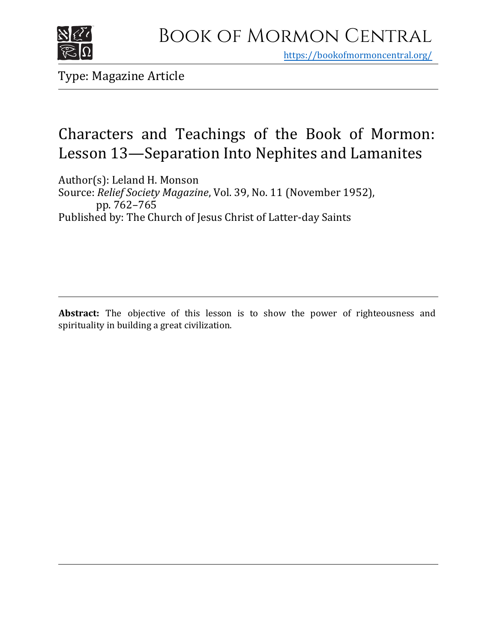

https[://bookofmormoncentral.org/](http://bookofmormoncentral.org/)

Type: Magazine Article

# Characters and Teachings of the Book of Mormon: Lesson 13—Separation Into Nephites and Lamanites

Author(s): Leland H. Monson Source: *Relief Society Magazine*, Vol. 39, No. 11 (November 1952), pp. 762–765 Published by: The Church of Jesus Christ of Latter-day Saints

**Abstract:** The objective of this lesson is to show the power of righteousness and spirituality in building a great civilization.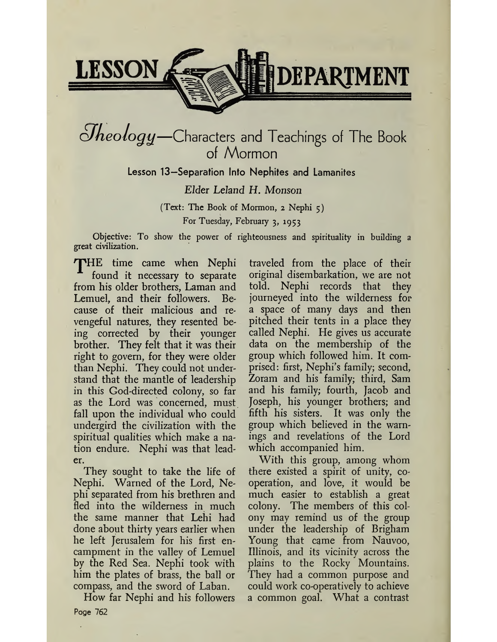

# *<i>Oheology*—Characters and Teachings of The Book of Mormon

Lesson 13—Separation Into Nephites and Lamanites

*Elder Leland H. Monson*

(Text: The Book of Mormon, 2 Nephi 5) For Tuesday, February 3, 1953

Objective: To show the power of righteousness and spirituality in building a great civilization.

THE time came when Nephi found it necessary to separate from his older brothers, Laman and Lemuel, and their followers. Because of their malicious and revengeful natures, they resented being corrected by their younger brother. They felt that it was their right to govern, for they were older than Nephi. They could not understand that the mantle of leadership in this God-directed colony, so far as the Lord was concerned, must fall upon the individual who could undergird the civilization with the spiritual qualities which make a nation endure. Nephi was that leader.

They sought to take the life of Nephi. Warned of the Lord, Nephi separated from his brethren and fled into the wilderness in much the same manner that Lehi had done about thirty years earlier when he left Jerusalem for his first encampment in the valley of Lemuel by the Red Sea. Nephi took with him the plates of brass, the ball or compass, and the sword of Laban.

How far Nephi and his followers Poge 762

traveled from the place of their original disembarkation, we are not told. Nephi records that they journeyed into the wilderness for a space of many days and then pitched their tents in a place they called Nephi. He gives us accurate data on the membership of the group which followed him. It comprised: first, Nephi's family; second, Zoram and his family; third, Sam and his family; fourth, Jacob and Joseph, his younger brothers; and fifth his sisters. It was only the group which believed in the warnings and revelations of the Lord which accompanied him.

With this group, among whom there existed a spirit of unity, cooperation, and love, it would be much easier to establish a great colony. The members of this colony may remind us of the group under the leadership of Brigham Young that came from Nauvoo, Illinois, and its vicinity across the plains to the Rocky Mountains. They had a common purpose and could work co-operatively to achieve a common goal. What a contrast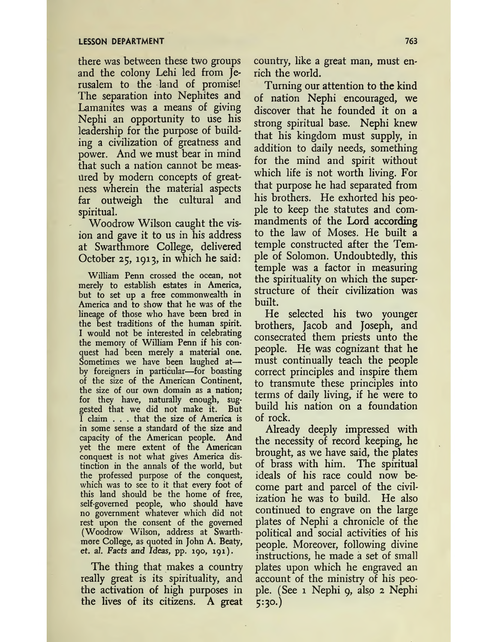there was between these two groups and the colony Lehi led from Jerusalem to the land of promise! The separation into Nephites and Lamanites was a means of giving Nephi an opportunity to use his leadership for the purpose of building a civilization of greatness and power. And we must bear in mind that such a nation cannot be measured by modern concepts of greatness wherein the material aspects far outweigh the cultural and spiritual.

Woodrow Wilson caught the vision and gave it to us in his address at Swarthmore College, delivered October 25, 1913, in which he said:

William Penn crossed the ocean, not merely to establish estates in America, but to set up a free commonwealth in America and to show that he was of the lineage of those who have been bred in the best traditions of the human spirit. I would not be interested in celebrating the memory of William Penn if his conquest had been merely a matérial one. Sometimes we have been laughed at by foreigners in particular—for boasting of the size of the American Continent, the size of our own domain as a nation; for they have, naturally enough, suggested that we did not make it. But I claim . . . that the size of America is in some sense a standard of the size and capacity of the American people. And yet the mere extent of the American conquest is not what gives America distinction in the annals of the world, but the professed purpose of the conquest, which was to see to it that every foot of this land should be the home of free, self-governed people, who should have no government whatever which did not rest upon the consent of the governed (Woodrow Wilson, address at Swarthmore College, as quoted in John A. Beaty, et. *al. Facts and Ideas,* pp. 190, 191).

The thing that makes a country really great is its spirituality, and the activation of high purposes in the lives of its citizens. A great country, like a great man, must enrich the world.

Turning our attention to the kind of nation Nephi encouraged, we discover that he founded it on a strong spiritual base. Nephi knew that his kingdom must supply, in addition to daily needs, something for the mind and spirit without which life is not worth living. For that purpose he had separated from his brothers. He exhorted his people to keep the statutes and commandments of the Lord according to the law of Moses. He built a temple constructed after the Temple of Solomon. Undoubtedly, this temple was a factor in measuring the spirituality on which the superstructure of their civilization was built.

He selected his two younger brothers, Jacob and Joseph, and consecrated them priests unto the people. He was cognizant that he must continually teach the people correct principles and inspire them to transmute these principles into terms of daily living, if he were to build his nation on a foundation of rock.

Already deeply impressed with the necessity of record keeping, he brought, as we have said, the plates of brass with him. The spiritual ideals of his race could now become part and parcel of the civilization he was to build. He also continued to engrave on the large plates of Nephi a chronicle of the political and social activities of his people. Moreover, following divine instructions, he made a set of small plates upon which he engraved an account of the ministry of his people. (See <sup>1</sup> Nephi 9, also 2 Nephi 5:30.)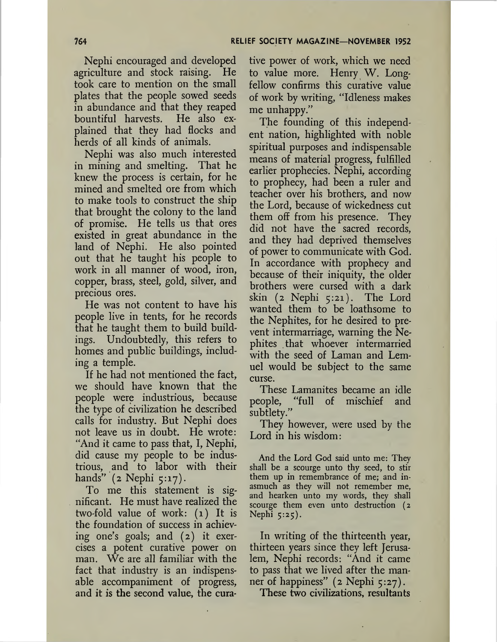Nephi encouraged and developed agriculture and stock raising. He took care to mention on the small plates that the people sowed seeds in abundance and that they reaped bountiful harvests. He also explained that they had flocks and herds of all kinds of animals.

Nephi was also much interested in mining and smelting. That he knew the process is certain, for he mined and smelted ore from which to make tools to construct the ship that brought the colony to the land of promise. He tells us that ores existed in great abundance in the land of Nephi. He also pointed out that he taught his people to work in all manner of wood, iron, copper, brass, steel, gold, silver, and precious ores.

He was not content to have his people live in tents, for he records that he taught them to build buildings. Undoubtedly, this refers to homes and public buildings, including a temple.

If he had not mentioned the fact, we should have known that the people were industrious, because the type of civilization he described calls for industry. But Nephi does not leave us in doubt. He wrote: "And it came to pass that, I, Nephi, did cause my people to be industrious, and to labor with their hands" (2 Nephi 5:17).

To me this statement is significant. He must have realized the two-fold value of work: (1) It is the foundation of success in achieving one's goals; and (2) it exercises a potent curative power on man. We are all familiar with the fact that industry is an indispensable accompaniment of progress, and it is the second value, the curative power of work, which we need to value more. Henry W. Longfellow confirms this curative value of work by writing, "Idleness makes me unhappy."

The founding of this independent nation, highlighted with noble spiritual purposes and indispensable means of material progress, fulfilled earlier prophecies. Nephi, according to prophecy, had been a ruler and teacher over his brothers, and now the Lord, because of wickedness cut them off from his presence. They did not have the sacred records, and they had deprived themselves of power to communicate with God. In accordance with prophecy and because of their iniquity, the older brothers were cursed with a dark skin (2 Nephi 5:21). The Lord wanted them to be loathsome to the Nephites, for he desired to prevent intermarriage, warning the Nephites that whoever intermarried with the seed of Laman and Lemuel would be subject to the same curse.

These Lamanites became an idle people, "full of mischief and subtlety."

They however, were used by the Lord in his wisdom:

And the Lord God said unto me: They shall be a scourge unto thy seed, to stir them up in remembrance of me; and inasmuch as they will not remember me, and hearken unto my words, they shall scourge them even unto destruction (2 Nephi 5:25).

In writing of the thirteenth year, thirteen years since they left Jerusalem, Nephi records: "And it came to pass that we lived after the manner of happiness" (2 Nephi 5:27).

These two civilizations, resultants